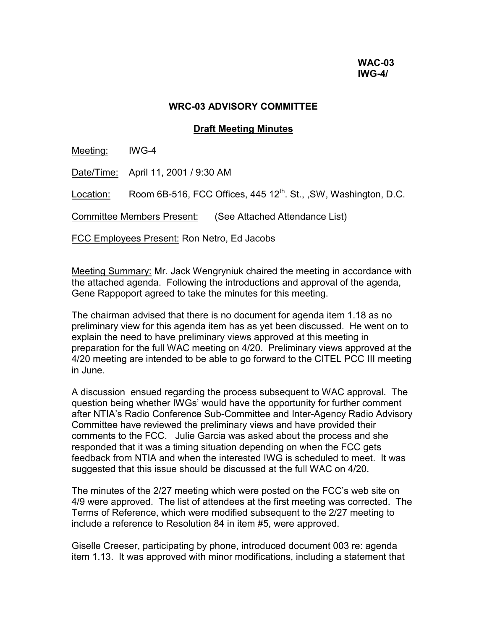#### **WRC-03 ADVISORY COMMITTEE**

#### **Draft Meeting Minutes**

Meeting: IWG-4

Date/Time: April 11, 2001 / 9:30 AM

Location: Room 6B-516, FCC Offices,  $445 12^{th}$ . St., ,SW, Washington, D.C.

Committee Members Present: (See Attached Attendance List)

FCC Employees Present: Ron Netro, Ed Jacobs

Meeting Summary: Mr. Jack Wengryniuk chaired the meeting in accordance with the attached agenda. Following the introductions and approval of the agenda, Gene Rappoport agreed to take the minutes for this meeting.

The chairman advised that there is no document for agenda item 1.18 as no preliminary view for this agenda item has as yet been discussed. He went on to explain the need to have preliminary views approved at this meeting in preparation for the full WAC meeting on 4/20. Preliminary views approved at the 4/20 meeting are intended to be able to go forward to the CITEL PCC III meeting in June.

A discussion ensued regarding the process subsequent to WAC approval. The question being whether IWGs' would have the opportunity for further comment after NTIA's Radio Conference Sub-Committee and Inter-Agency Radio Advisory Committee have reviewed the preliminary views and have provided their comments to the FCC. Julie Garcia was asked about the process and she responded that it was a timing situation depending on when the FCC gets feedback from NTIA and when the interested IWG is scheduled to meet. It was suggested that this issue should be discussed at the full WAC on 4/20.

The minutes of the 2/27 meeting which were posted on the FCC's web site on 4/9 were approved. The list of attendees at the first meeting was corrected. The Terms of Reference, which were modified subsequent to the 2/27 meeting to include a reference to Resolution 84 in item #5, were approved.

Giselle Creeser, participating by phone, introduced document 003 re: agenda item 1.13. It was approved with minor modifications, including a statement that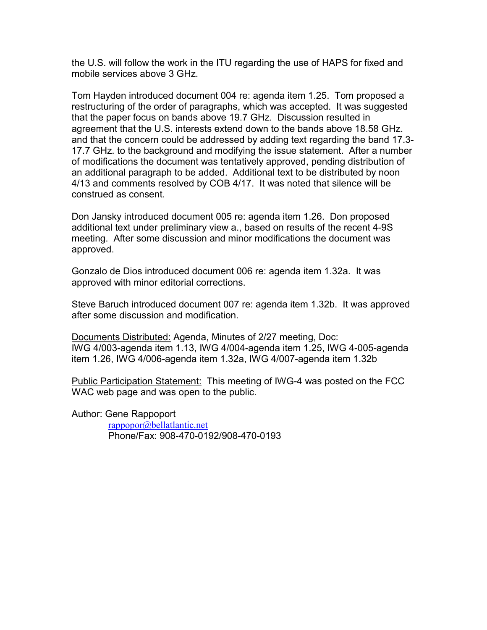the U.S. will follow the work in the ITU regarding the use of HAPS for fixed and mobile services above 3 GHz.

Tom Hayden introduced document 004 re: agenda item 1.25. Tom proposed a restructuring of the order of paragraphs, which was accepted. It was suggested that the paper focus on bands above 19.7 GHz. Discussion resulted in agreement that the U.S. interests extend down to the bands above 18.58 GHz. and that the concern could be addressed by adding text regarding the band 17.3- 17.7 GHz. to the background and modifying the issue statement. After a number of modifications the document was tentatively approved, pending distribution of an additional paragraph to be added. Additional text to be distributed by noon 4/13 and comments resolved by COB 4/17. It was noted that silence will be construed as consent.

Don Jansky introduced document 005 re: agenda item 1.26. Don proposed additional text under preliminary view a., based on results of the recent 4-9S meeting. After some discussion and minor modifications the document was approved.

Gonzalo de Dios introduced document 006 re: agenda item 1.32a. It was approved with minor editorial corrections.

Steve Baruch introduced document 007 re: agenda item 1.32b. It was approved after some discussion and modification.

Documents Distributed: Agenda, Minutes of 2/27 meeting, Doc: IWG 4/003-agenda item 1.13, IWG 4/004-agenda item 1.25, IWG 4-005-agenda item 1.26, IWG 4/006-agenda item 1.32a, IWG 4/007-agenda item 1.32b

Public Participation Statement: This meeting of IWG-4 was posted on the FCC WAC web page and was open to the public.

Author: Gene Rappoport [rappopor@bellatlantic.net](mailto:rappopor@bellatlantic.net)

Phone/Fax: 908-470-0192/908-470-0193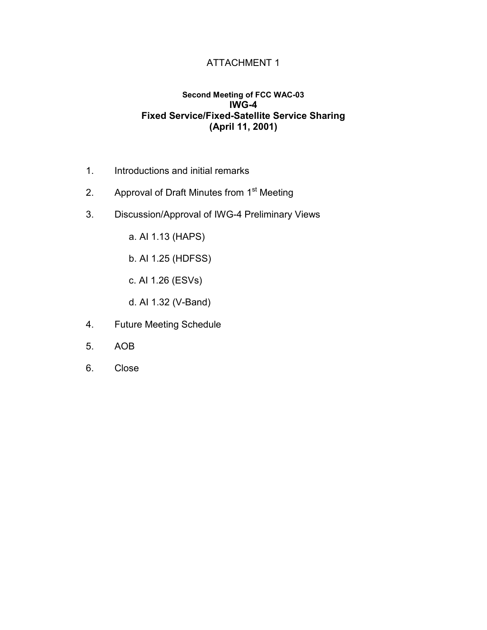### ATTACHMENT 1

#### **Second Meeting of FCC WAC-03 IWG-4 Fixed Service/Fixed-Satellite Service Sharing (April 11, 2001)**

- 1. Introductions and initial remarks
- 2. Approval of Draft Minutes from 1<sup>st</sup> Meeting
- 3. Discussion/Approval of IWG-4 Preliminary Views
	- a. AI 1.13 (HAPS)
	- b. AI 1.25 (HDFSS)
	- c. AI 1.26 (ESVs)
	- d. AI 1.32 (V-Band)
- 4. Future Meeting Schedule
- 5. AOB
- 6. Close